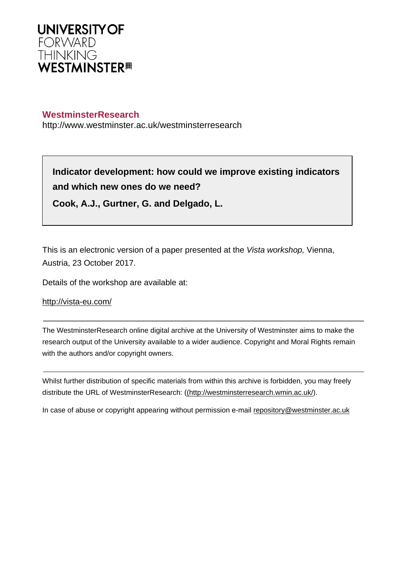

#### **WestminsterResearch**

http://www.westminster.ac.uk/westminsterresearch

**Indicator development: how could we improve existing indicators and which new ones do we need?**

**Cook, A.J., Gurtner, G. and Delgado, L.**

This is an electronic version of a paper presented at the Vista workshop, Vienna, Austria, 23 October 2017.

Details of the workshop are available at:

<http://vista-eu.com/>

The WestminsterResearch online digital archive at the University of Westminster aims to make the research output of the University available to a wider audience. Copyright and Moral Rights remain with the authors and/or copyright owners.

Whilst further distribution of specific materials from within this archive is forbidden, you may freely distribute the URL of WestminsterResearch: [\(\(http://westminsterresearch.wmin.ac.uk/](http://westminsterresearch.wmin.ac.uk/)).

In case of abuse or copyright appearing without permission e-mail <repository@westminster.ac.uk>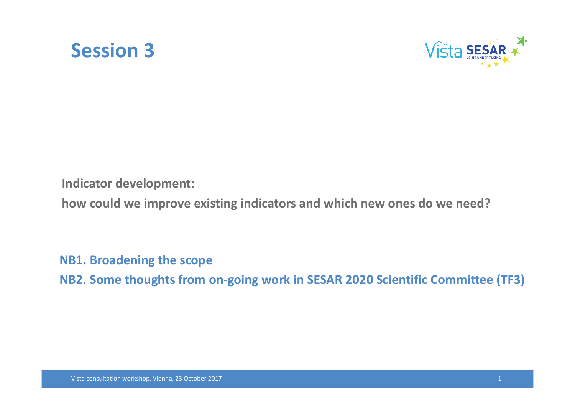



**Indicator development:** 

**how could we improve existing indicators and which new ones do we need?**

**NB1. Broadening the scope**

**NB2. Some thoughts from on‐going work in SESAR 2020 Scientific Committee (TF3)**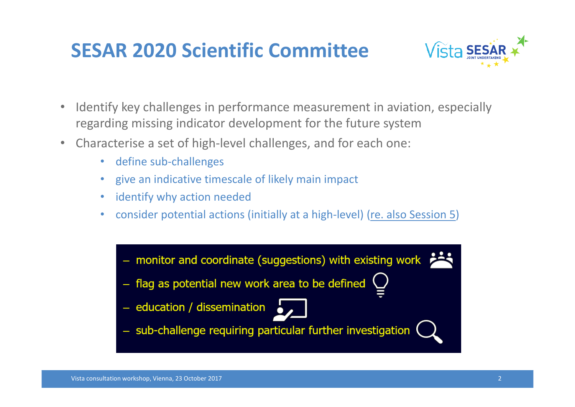

- • Identify key challenges in performance measurement in aviation, especially regarding missing indicator development for the future system
- • Characterise a set of high‐level challenges, and for each one:
	- define sub-challenges
	- give an indicative timescale of likely main impact
	- •identify why action needed
	- •consider potential actions (initially at a high‐level) (re. also Session 5)

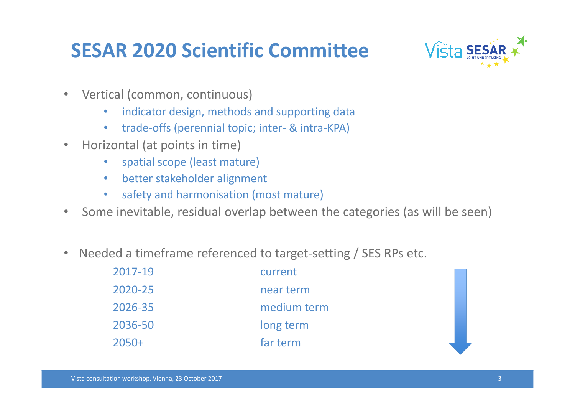

- $\bullet$  Vertical (common, continuous)
	- $\bullet$ indicator design, methods and supporting data
	- $\bullet$ trade‐offs (perennial topic; inter‐ & intra‐KPA)
- • Horizontal (at points in time)
	- •spatial scope (least mature)
	- $\bullet$ better stakeholder alignment
	- $\bullet$ safety and harmonisation (most mature)
- $\bullet$ Some inevitable, residual overlap between the categories (as will be seen)
- $\bullet$ Needed a timeframe referenced to target‐setting / SES RPs etc.

| 2017-19 | current     |
|---------|-------------|
| 2020-25 | near term   |
| 2026-35 | medium term |
| 2036-50 | long term   |
| $2050+$ | far term    |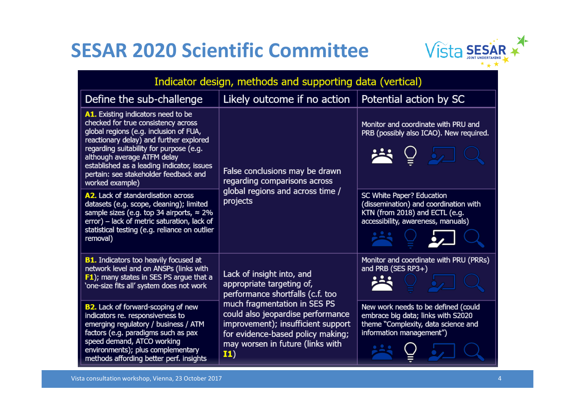

| Indicator design, methods and supporting data (vertical)                                                                                                                                                                                                                                                                                           |                                                                                                                                                                                                                                                                                              |                                                                                                                                              |
|----------------------------------------------------------------------------------------------------------------------------------------------------------------------------------------------------------------------------------------------------------------------------------------------------------------------------------------------------|----------------------------------------------------------------------------------------------------------------------------------------------------------------------------------------------------------------------------------------------------------------------------------------------|----------------------------------------------------------------------------------------------------------------------------------------------|
| Define the sub-challenge                                                                                                                                                                                                                                                                                                                           | Likely outcome if no action                                                                                                                                                                                                                                                                  | Potential action by SC                                                                                                                       |
| A1. Existing indicators need to be<br>checked for true consistency across<br>global regions (e.g. inclusion of FUA,<br>reactionary delay) and further explored<br>regarding suitability for purpose (e.g.<br>although average ATFM delay<br>established as a leading indicator, issues<br>pertain: see stakeholder feedback and<br>worked example) | False conclusions may be drawn<br>regarding comparisons across<br>global regions and across time /<br>projects                                                                                                                                                                               | Monitor and coordinate with PRU and<br>PRB (possibly also ICAO). New required.                                                               |
| A2. Lack of standardisation across<br>datasets (e.g. scope, cleaning); limited<br>sample sizes (e.g. top 34 airports, $\approx$ 2%<br>error) - lack of metric saturation, lack of<br>statistical testing (e.g. reliance on outlier<br>removal)                                                                                                     |                                                                                                                                                                                                                                                                                              | SC White Paper? Education<br>(dissemination) and coordination with<br>KTN (from 2018) and ECTL (e.g.<br>accessibility, awareness, manuals)   |
| <b>B1.</b> Indicators too heavily focused at<br>network level and on ANSPs (links with<br>F1); many states in SES PS argue that a<br>'one-size fits all' system does not work                                                                                                                                                                      | Lack of insight into, and<br>appropriate targeting of,<br>performance shortfalls (c.f. too<br>much fragmentation in SES PS<br>could also jeopardise performance<br>improvement); insufficient support<br>for evidence-based policy making;<br>may worsen in future (links with<br><b>I1)</b> | Monitor and coordinate with PRU (PRRs)<br>and PRB (SES RP3+)                                                                                 |
| <b>B2.</b> Lack of forward-scoping of new<br>indicators re. responsiveness to<br>emerging regulatory / business / ATM<br>factors (e.g. paradigms such as pax<br>speed demand, ATCO working<br>environments); plus complementary<br>methods affording better perf. insights                                                                         |                                                                                                                                                                                                                                                                                              | New work needs to be defined (could<br>embrace big data; links with S2020<br>theme "Complexity, data science and<br>information management") |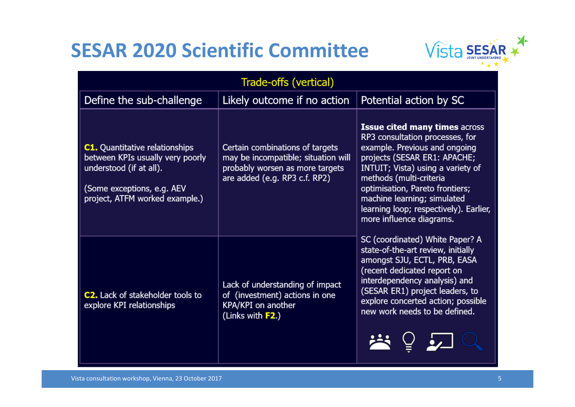

| Trade-offs (vertical)                                                                                                                                                |                                                                                                                                            |                                                                                                                                                                                                                                                                                                                                                  |
|----------------------------------------------------------------------------------------------------------------------------------------------------------------------|--------------------------------------------------------------------------------------------------------------------------------------------|--------------------------------------------------------------------------------------------------------------------------------------------------------------------------------------------------------------------------------------------------------------------------------------------------------------------------------------------------|
| Define the sub-challenge                                                                                                                                             | Likely outcome if no action                                                                                                                | Potential action by SC                                                                                                                                                                                                                                                                                                                           |
| <b>C1.</b> Quantitative relationships<br>between KPIs usually very poorly<br>understood (if at all).<br>(Some exceptions, e.g. AEV<br>project, ATFM worked example.) | Certain combinations of targets<br>may be incompatible; situation will<br>probably worsen as more targets<br>are added (e.g. RP3 c.f. RP2) | <b>Issue cited many times across</b><br>RP3 consultation processes, for<br>example. Previous and ongoing<br>projects (SESAR ER1: APACHE;<br>INTUIT; Vista) using a variety of<br>methods (multi-criteria<br>optimisation, Pareto frontiers;<br>machine learning; simulated<br>learning loop; respectively). Earlier,<br>more influence diagrams. |
| <b>C2.</b> Lack of stakeholder tools to<br>explore KPI relationships                                                                                                 | Lack of understanding of impact<br>of (investment) actions in one<br>KPA/KPI on another<br>(Links with <b>F2</b> .)                        | SC (coordinated) White Paper? A<br>state-of-the-art review, initially<br>amongst SJU, ECTL, PRB, EASA<br>(recent dedicated report on<br>interdependency analysis) and<br>(SESAR ER1) project leaders, to<br>explore concerted action; possible<br>new work needs to be defined.                                                                  |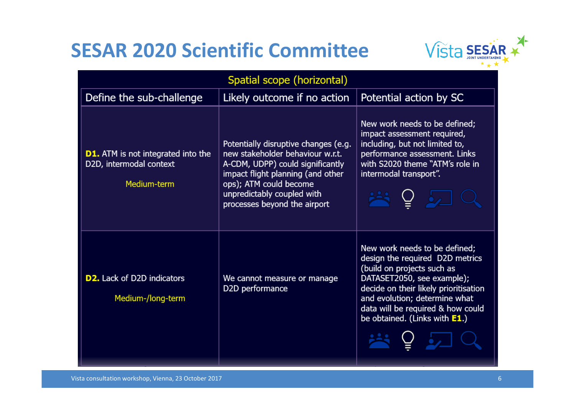

| Spatial scope (horizontal)                                                          |                                                                                                                                                                                                                                           |                                                                                                                                                                                                                                                                                 |
|-------------------------------------------------------------------------------------|-------------------------------------------------------------------------------------------------------------------------------------------------------------------------------------------------------------------------------------------|---------------------------------------------------------------------------------------------------------------------------------------------------------------------------------------------------------------------------------------------------------------------------------|
| Define the sub-challenge                                                            | Likely outcome if no action                                                                                                                                                                                                               | Potential action by SC                                                                                                                                                                                                                                                          |
| <b>D1.</b> ATM is not integrated into the<br>D2D, intermodal context<br>Medium-term | Potentially disruptive changes (e.g.<br>new stakeholder behaviour w.r.t.<br>A-CDM, UDPP) could significantly<br>impact flight planning (and other<br>ops); ATM could become<br>unpredictably coupled with<br>processes beyond the airport | New work needs to be defined;<br>impact assessment required,<br>including, but not limited to,<br>performance assessment. Links<br>with S2020 theme "ATM's role in<br>intermodal transport".                                                                                    |
| <b>D2.</b> Lack of D2D indicators<br>Medium-/long-term                              | We cannot measure or manage<br>D2D performance                                                                                                                                                                                            | New work needs to be defined;<br>design the required D2D metrics<br>(build on projects such as<br>DATASET2050, see example);<br>decide on their likely prioritisation<br>and evolution; determine what<br>data will be required & how could<br>be obtained. (Links with $E1$ .) |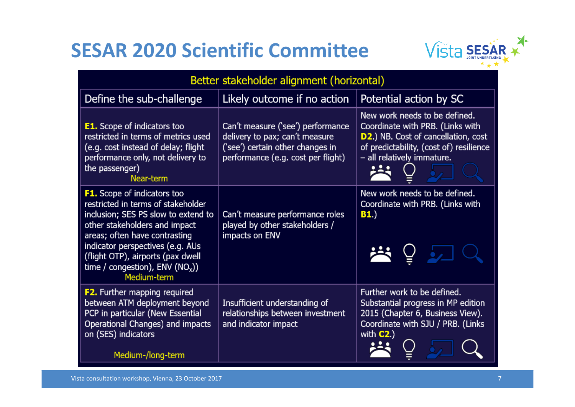

| Better stakeholder alignment (horizontal)                                                                                                                                                                                                                                                                      |                                                                                                                                               |                                                                                                                                                                                          |
|----------------------------------------------------------------------------------------------------------------------------------------------------------------------------------------------------------------------------------------------------------------------------------------------------------------|-----------------------------------------------------------------------------------------------------------------------------------------------|------------------------------------------------------------------------------------------------------------------------------------------------------------------------------------------|
| Define the sub-challenge                                                                                                                                                                                                                                                                                       | Likely outcome if no action                                                                                                                   | Potential action by SC                                                                                                                                                                   |
| <b>E1.</b> Scope of indicators too<br>restricted in terms of metrics used<br>(e.g. cost instead of delay; flight<br>performance only, not delivery to<br>the passenger)<br>Near-term                                                                                                                           | Can't measure ('see') performance<br>delivery to pax; can't measure<br>('see') certain other changes in<br>performance (e.g. cost per flight) | New work needs to be defined.<br>Coordinate with PRB. (Links with<br><b>D2.)</b> NB. Cost of cancellation, cost<br>of predictability, (cost of) resilience<br>- all relatively immature. |
| <b>F1.</b> Scope of indicators too<br>restricted in terms of stakeholder<br>inclusion; SES PS slow to extend to<br>other stakeholders and impact<br>areas; often have contrasting<br>indicator perspectives (e.g. AUs<br>(flight OTP), airports (pax dwell<br>time / congestion), $ENV (NOx)$ )<br>Medium-term | Can't measure performance roles<br>played by other stakeholders /<br>impacts on ENV                                                           | New work needs to be defined.<br>Coordinate with PRB. (Links with<br>B1.<br>学行                                                                                                           |
| <b>F2.</b> Further mapping required<br>between ATM deployment beyond<br>PCP in particular (New Essential<br>Operational Changes) and impacts<br>on (SES) indicators<br>Medium-/long-term                                                                                                                       | Insufficient understanding of<br>relationships between investment<br>and indicator impact                                                     | Further work to be defined.<br>Substantial progress in MP edition<br>2015 (Chapter 6, Business View).<br>Coordinate with SJU / PRB. (Links<br>with $C2$ .)                               |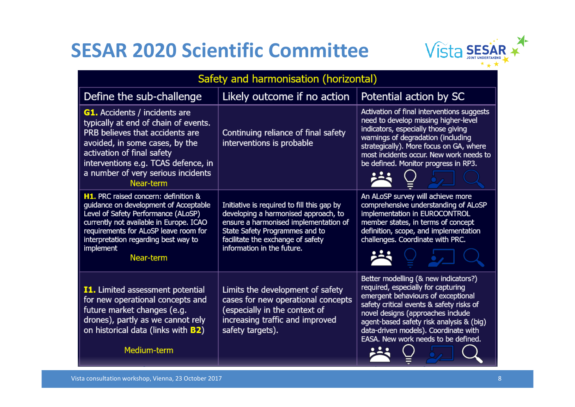

| Safety and harmonisation (horizontal)                                                                                                                                                                                                                                             |                                                                                                                                                                                                                                  |                                                                                                                                                                                                                                                                                                                              |
|-----------------------------------------------------------------------------------------------------------------------------------------------------------------------------------------------------------------------------------------------------------------------------------|----------------------------------------------------------------------------------------------------------------------------------------------------------------------------------------------------------------------------------|------------------------------------------------------------------------------------------------------------------------------------------------------------------------------------------------------------------------------------------------------------------------------------------------------------------------------|
| Define the sub-challenge                                                                                                                                                                                                                                                          | Likely outcome if no action                                                                                                                                                                                                      | Potential action by SC                                                                                                                                                                                                                                                                                                       |
| <b>G1.</b> Accidents / incidents are<br>typically at end of chain of events.<br>PRB believes that accidents are<br>avoided, in some cases, by the<br>activation of final safety<br>interventions e.g. TCAS defence, in<br>a number of very serious incidents<br>Near-term         | Continuing reliance of final safety<br>interventions is probable                                                                                                                                                                 | Activation of final interventions suggests<br>need to develop missing higher-level<br>indicators, especially those giving<br>warnings of degradation (including<br>strategically). More focus on GA, where<br>most incidents occur. New work needs to<br>be defined. Monitor progress in RP3.                                |
| <b>H1.</b> PRC raised concern: definition &<br>guidance on development of Acceptable<br>Level of Safety Performance (ALoSP)<br>currently not available in Europe. ICAO<br>requirements for ALoSP leave room for<br>interpretation regarding best way to<br>implement<br>Near-term | Initiative is required to fill this gap by<br>developing a harmonised approach, to<br>ensure a harmonised implementation of<br>State Safety Programmes and to<br>facilitate the exchange of safety<br>information in the future. | An ALoSP survey will achieve more<br>comprehensive understanding of ALoSP<br>implementation in EUROCONTROL<br>member states, in terms of concept<br>definition, scope, and implementation<br>challenges. Coordinate with PRC.                                                                                                |
| <b>I1.</b> Limited assessment potential<br>for new operational concepts and<br>future market changes (e.g.<br>drones), partly as we cannot rely<br>on historical data (links with <b>B2)</b><br>Medium-term                                                                       | Limits the development of safety<br>cases for new operational concepts<br>(especially in the context of<br>increasing traffic and improved<br>safety targets).                                                                   | Better modelling (& new indicators?)<br>required, especially for capturing<br>emergent behaviours of exceptional<br>safety critical events & safety risks of<br>novel designs (approaches include<br>agent-based safety risk analysis & (big)<br>data-driven models). Coordinate with<br>EASA. New work needs to be defined. |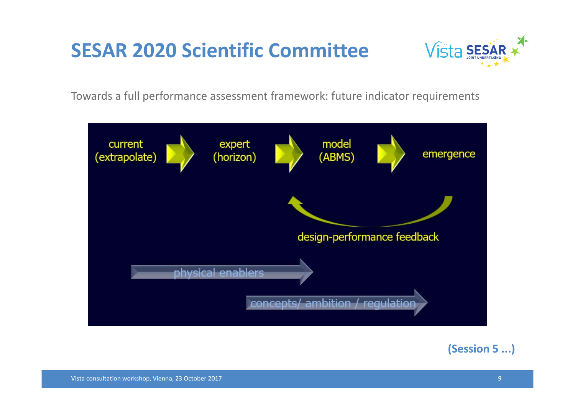

Towards a full performance assessment framework: future indicator requirements



#### **(Session 5 ...)**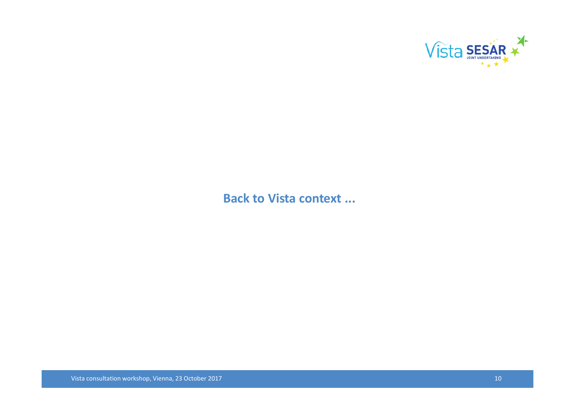

#### **Back to Vista context ...**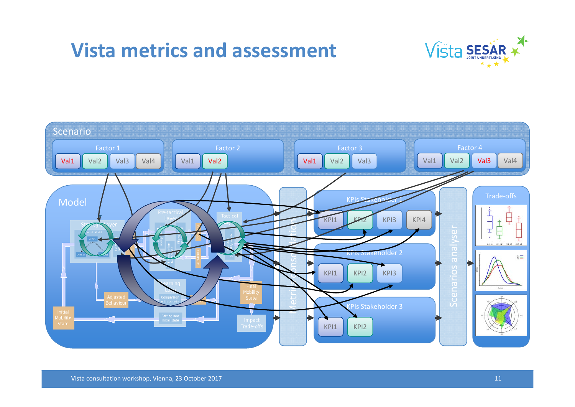#### **Vista metrics and assessment**



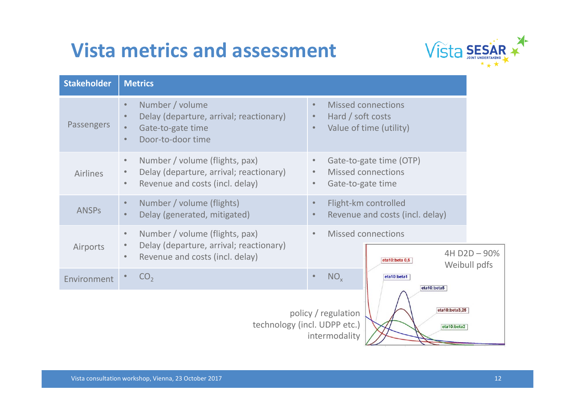# **Vista metrics and assessment**



| <b>Stakeholder</b> | <b>Metrics</b>                                                                                                                         |                                                                                                                  |
|--------------------|----------------------------------------------------------------------------------------------------------------------------------------|------------------------------------------------------------------------------------------------------------------|
| <b>Passengers</b>  | Number / volume<br>$\bullet$<br>Delay (departure, arrival; reactionary)<br>Gate-to-gate time<br>Door-to-door time<br>$\bullet$         | <b>Missed connections</b><br>$\bullet$<br>Hard / soft costs<br>Value of time (utility)                           |
| <b>Airlines</b>    | Number / volume (flights, pax)<br>$\bullet$<br>Delay (departure, arrival; reactionary)<br>Revenue and costs (incl. delay)<br>$\bullet$ | Gate-to-gate time (OTP)<br>$\bullet$<br><b>Missed connections</b><br>$\bullet$<br>Gate-to-gate time<br>$\bullet$ |
| <b>ANSPS</b>       | Number / volume (flights)<br>$\bullet$<br>Delay (generated, mitigated)<br>$\bullet$                                                    | Flight-km controlled<br>Revenue and costs (incl. delay)                                                          |
| Airports           | Number / volume (flights, pax)<br>$\bullet$<br>Delay (departure, arrival; reactionary)<br>Revenue and costs (incl. delay)<br>$\bullet$ | <b>Missed connections</b><br>$\bullet$<br>4H D2D - 90%<br>eta10:beta 0,5<br>Weibull pdfs                         |
| Environment        | CO <sub>2</sub>                                                                                                                        | NO <sub>x</sub><br>eta10:beta1<br>eta10:beta5                                                                    |
|                    | technology (incl. UDPP etc.)                                                                                                           | eta10:beta3,25<br>policy / regulation<br>eta10:beta2<br>intermodality                                            |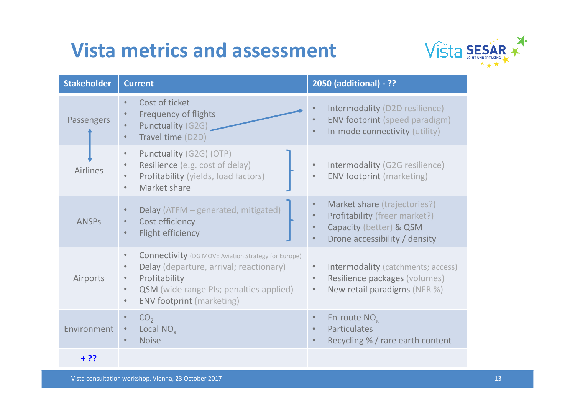# **Vista metrics and assessment**



| <b>Stakeholder</b> | <b>Current</b>                                                                                                                                                                                                                                                                | 2050 (additional) - ??                                                                                                                 |
|--------------------|-------------------------------------------------------------------------------------------------------------------------------------------------------------------------------------------------------------------------------------------------------------------------------|----------------------------------------------------------------------------------------------------------------------------------------|
| Passengers         | Cost of ticket<br>$\bullet$<br><b>Frequency of flights</b><br>Punctuality (G2G)<br>Travel time (D2D)<br>$\bullet$                                                                                                                                                             | Intermodality (D2D resilience)<br><b>ENV footprint (speed paradigm)</b><br>In-mode connectivity (utility)                              |
| <b>Airlines</b>    | Punctuality (G2G) (OTP)<br>$\bullet$<br>Resilience (e.g. cost of delay)<br>$\bullet$<br>Profitability (yields, load factors)<br>Market share<br>$\bullet$                                                                                                                     | Intermodality (G2G resilience)<br><b>ENV footprint (marketing)</b><br>$\bullet$                                                        |
| <b>ANSPS</b>       | Delay (ATFM - generated, mitigated)<br>Cost efficiency<br><b>Flight efficiency</b>                                                                                                                                                                                            | Market share (trajectories?)<br>Profitability (freer market?)<br>Capacity (better) & QSM<br>Drone accessibility / density<br>$\bullet$ |
| Airports           | <b>Connectivity</b> (DG MOVE Aviation Strategy for Europe)<br>$\bullet$<br>Delay (departure, arrival; reactionary)<br>$\bullet$<br>Profitability<br>$\bullet$<br><b>QSM</b> (wide range PIs; penalties applied)<br>$\bullet$<br><b>ENV footprint (marketing)</b><br>$\bullet$ | Intermodality (catchments; access)<br>Resilience packages (volumes)<br>New retail paradigms (NER %)<br>$\bullet$                       |
| Environment        | CO <sub>2</sub><br>$\bullet$<br>Local NO <sub>v</sub><br>$\bullet$<br><b>Noise</b><br>$\bullet$                                                                                                                                                                               | En-route $NOx$<br>Particulates<br>Recycling % / rare earth content                                                                     |
| $+ ??$             |                                                                                                                                                                                                                                                                               |                                                                                                                                        |